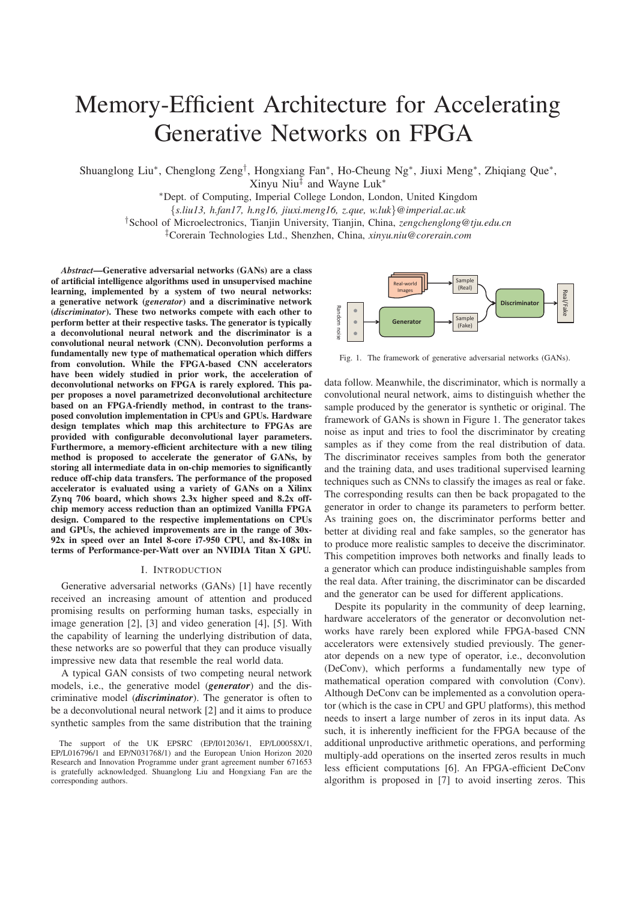# Memory-Efficient Architecture for Accelerating Generative Networks on FPGA

Shuanglong Liu∗, Chenglong Zeng†, Hongxiang Fan∗, Ho-Cheung Ng∗, Jiuxi Meng∗, Zhiqiang Que∗,

Xinyu Niu‡ and Wayne Luk∗

∗Dept. of Computing, Imperial College London, London, United Kingdom

{*s.liu13, h.fan17, h.ng16, jiuxi.meng16, z.que, w.luk*}*@imperial.ac.uk*

†School of Microelectronics, Tianjin University, Tianjin, China, *zengchenglong@tju.edu.cn*

‡Corerain Technologies Ltd., Shenzhen, China, *xinyu.niu@corerain.com*

*Abstract*—Generative adversarial networks (GANs) are a class of artificial intelligence algorithms used in unsupervised machine learning, implemented by a system of two neural networks: a generative network (*generator*) and a discriminative network (*discriminator*). These two networks compete with each other to perform better at their respective tasks. The generator is typically a deconvolutional neural network and the discriminator is a convolutional neural network (CNN). Deconvolution performs a fundamentally new type of mathematical operation which differs from convolution. While the FPGA-based CNN accelerators have been widely studied in prior work, the acceleration of deconvolutional networks on FPGA is rarely explored. This paper proposes a novel parametrized deconvolutional architecture based on an FPGA-friendly method, in contrast to the transposed convolution implementation in CPUs and GPUs. Hardware design templates which map this architecture to FPGAs are provided with configurable deconvolutional layer parameters. Furthermore, a memory-efficient architecture with a new tiling method is proposed to accelerate the generator of GANs, by storing all intermediate data in on-chip memories to significantly reduce off-chip data transfers. The performance of the proposed accelerator is evaluated using a variety of GANs on a Xilinx Zynq 706 board, which shows 2.3x higher speed and 8.2x offchip memory access reduction than an optimized Vanilla FPGA design. Compared to the respective implementations on CPUs and GPUs, the achieved improvements are in the range of 30x-92x in speed over an Intel 8-core i7-950 CPU, and 8x-108x in terms of Performance-per-Watt over an NVIDIA Titan X GPU.

# I. INTRODUCTION

Generative adversarial networks (GANs) [1] have recently received an increasing amount of attention and produced promising results on performing human tasks, especially in image generation [2], [3] and video generation [4], [5]. With the capability of learning the underlying distribution of data, these networks are so powerful that they can produce visually impressive new data that resemble the real world data.

A typical GAN consists of two competing neural network models, i.e., the generative model (*generator*) and the discriminative model (*discriminator*). The generator is often to be a deconvolutional neural network [2] and it aims to produce synthetic samples from the same distribution that the training



Fig. 1. The framework of generative adversarial networks (GANs).

data follow. Meanwhile, the discriminator, which is normally a convolutional neural network, aims to distinguish whether the sample produced by the generator is synthetic or original. The framework of GANs is shown in Figure 1. The generator takes noise as input and tries to fool the discriminator by creating samples as if they come from the real distribution of data. The discriminator receives samples from both the generator and the training data, and uses traditional supervised learning techniques such as CNNs to classify the images as real or fake. The corresponding results can then be back propagated to the generator in order to change its parameters to perform better. As training goes on, the discriminator performs better and better at dividing real and fake samples, so the generator has to produce more realistic samples to deceive the discriminator. This competition improves both networks and finally leads to a generator which can produce indistinguishable samples from the real data. After training, the discriminator can be discarded and the generator can be used for different applications.

Despite its popularity in the community of deep learning, hardware accelerators of the generator or deconvolution networks have rarely been explored while FPGA-based CNN accelerators were extensively studied previously. The generator depends on a new type of operator, i.e., deconvolution (DeConv), which performs a fundamentally new type of mathematical operation compared with convolution (Conv). Although DeConv can be implemented as a convolution operator (which is the case in CPU and GPU platforms), this method needs to insert a large number of zeros in its input data. As such, it is inherently inefficient for the FPGA because of the additional unproductive arithmetic operations, and performing multiply-add operations on the inserted zeros results in much less efficient computations [6]. An FPGA-efficient DeConv algorithm is proposed in [7] to avoid inserting zeros. This

The support of the UK EPSRC (EP/I012036/1, EP/L00058X/1, EP/L016796/1 and EP/N031768/1) and the European Union Horizon 2020 Research and Innovation Programme under grant agreement number 671653 is gratefully acknowledged. Shuanglong Liu and Hongxiang Fan are the corresponding authors.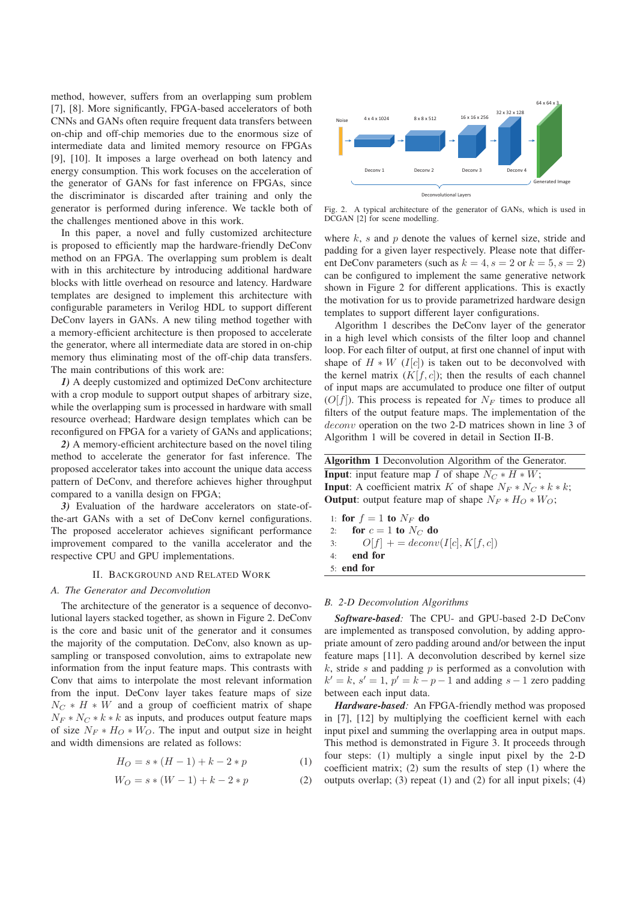method, however, suffers from an overlapping sum problem [7], [8]. More significantly, FPGA-based accelerators of both CNNs and GANs often require frequent data transfers between on-chip and off-chip memories due to the enormous size of intermediate data and limited memory resource on FPGAs [9], [10]. It imposes a large overhead on both latency and energy consumption. This work focuses on the acceleration of the generator of GANs for fast inference on FPGAs, since the discriminator is discarded after training and only the generator is performed during inference. We tackle both of the challenges mentioned above in this work.

In this paper, a novel and fully customized architecture is proposed to efficiently map the hardware-friendly DeConv method on an FPGA. The overlapping sum problem is dealt with in this architecture by introducing additional hardware blocks with little overhead on resource and latency. Hardware templates are designed to implement this architecture with configurable parameters in Verilog HDL to support different DeConv layers in GANs. A new tiling method together with a memory-efficient architecture is then proposed to accelerate the generator, where all intermediate data are stored in on-chip memory thus eliminating most of the off-chip data transfers. The main contributions of this work are:

*1)* A deeply customized and optimized DeConv architecture with a crop module to support output shapes of arbitrary size, while the overlapping sum is processed in hardware with small resource overhead; Hardware design templates which can be reconfigured on FPGA for a variety of GANs and applications;

*2)* A memory-efficient architecture based on the novel tiling method to accelerate the generator for fast inference. The proposed accelerator takes into account the unique data access pattern of DeConv, and therefore achieves higher throughput compared to a vanilla design on FPGA;

*3)* Evaluation of the hardware accelerators on state-ofthe-art GANs with a set of DeConv kernel configurations. The proposed accelerator achieves significant performance improvement compared to the vanilla accelerator and the respective CPU and GPU implementations.

#### II. BACKGROUND AND RELATED WORK

# *A. The Generator and Deconvolution*

The architecture of the generator is a sequence of deconvolutional layers stacked together, as shown in Figure 2. DeConv is the core and basic unit of the generator and it consumes the majority of the computation. DeConv, also known as upsampling or transposed convolution, aims to extrapolate new information from the input feature maps. This contrasts with Conv that aims to interpolate the most relevant information from the input. DeConv layer takes feature maps of size  $N_C * H * W$  and a group of coefficient matrix of shape  $N_F * N_C * k * k$  as inputs, and produces output feature maps of size  $N_F * H_O * W_O$ . The input and output size in height and width dimensions are related as follows:

$$
H_O = s * (H - 1) + k - 2 * p \tag{1}
$$

$$
W_O = s * (W - 1) + k - 2 * p \tag{2}
$$



Fig. 2. A typical architecture of the generator of GANs, which is used in DCGAN [2] for scene modelling.

where  $k$ ,  $s$  and  $p$  denote the values of kernel size, stride and padding for a given layer respectively. Please note that different DeConv parameters (such as  $k = 4$ ,  $s = 2$  or  $k = 5$ ,  $s = 2$ ) can be configured to implement the same generative network shown in Figure 2 for different applications. This is exactly the motivation for us to provide parametrized hardware design templates to support different layer configurations.

Algorithm 1 describes the DeConv layer of the generator in a high level which consists of the filter loop and channel loop. For each filter of output, at first one channel of input with shape of  $H * W$  (I[c]) is taken out to be deconvolved with the kernel matrix  $(K[f, c])$ ; then the results of each channel of input maps are accumulated to produce one filter of output  $(O[f])$ . This process is repeated for  $N_F$  times to produce all filters of the output feature maps. The implementation of the deconv operation on the two 2-D matrices shown in line 3 of Algorithm 1 will be covered in detail in Section II-B.

Algorithm 1 Deconvolution Algorithm of the Generator. **Input:** input feature map I of shape  $N_C * H * W$ ; **Input:** A coefficient matrix K of shape  $N_F * N_C * k * k$ ; **Output:** output feature map of shape  $N_F * H_O * W_O$ ; 1: for  $f = 1$  to  $N_F$  do

2: for  $c = 1$  to  $N_C$  do 3:  $O[f] + = deconv(I[c], K[f, c])$ 4: end for 5: end for

#### *B. 2-D Deconvolution Algorithms*

*Software-based:* The CPU- and GPU-based 2-D DeConv are implemented as transposed convolution, by adding appropriate amount of zero padding around and/or between the input feature maps [11]. A deconvolution described by kernel size  $k$ , stride  $s$  and padding  $p$  is performed as a convolution with  $k' = k$ ,  $s' = 1$ ,  $p' = k - p - 1$  and adding  $s - 1$  zero padding between each input data.

*Hardware-based:* An FPGA-friendly method was proposed in [7], [12] by multiplying the coefficient kernel with each input pixel and summing the overlapping area in output maps. This method is demonstrated in Figure 3. It proceeds through four steps: (1) multiply a single input pixel by the 2-D coefficient matrix; (2) sum the results of step (1) where the outputs overlap; (3) repeat (1) and (2) for all input pixels; (4)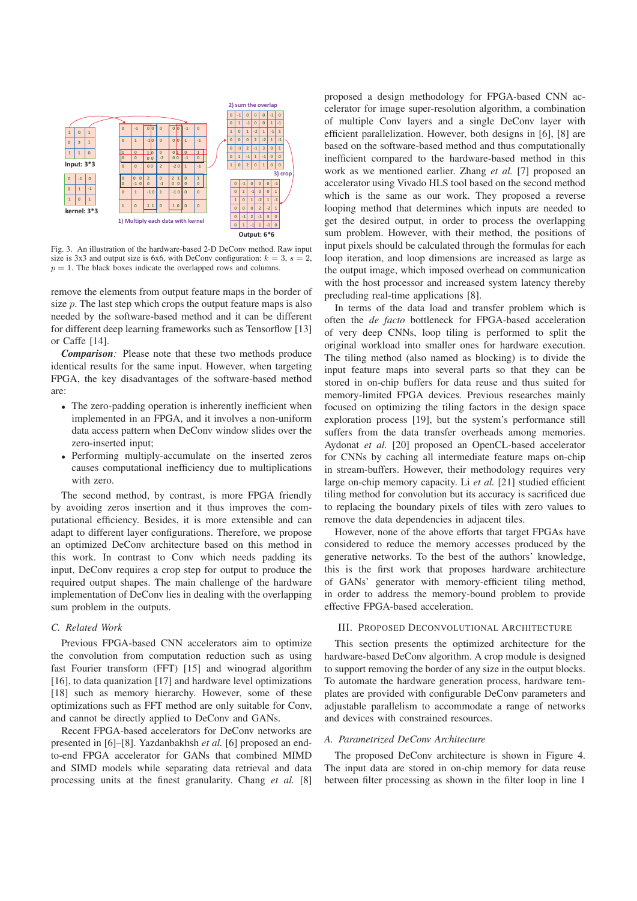

Fig. 3. An illustration of the hardware-based 2-D DeConv method. Raw input size is 3x3 and output size is 6x6, with DeConv configuration:  $k = 3$ ,  $s = 2$ ,  $p = 1$ . The black boxes indicate the overlapped rows and columns.

remove the elements from output feature maps in the border of size  $p$ . The last step which crops the output feature maps is also needed by the software-based method and it can be different for different deep learning frameworks such as Tensorflow [13] or Caffe [14].

*Comparison:* Please note that these two methods produce identical results for the same input. However, when targeting FPGA, the key disadvantages of the software-based method are:

- The zero-padding operation is inherently inefficient when implemented in an FPGA, and it involves a non-uniform data access pattern when DeConv window slides over the zero-inserted input;
- Performing multiply-accumulate on the inserted zeros causes computational inefficiency due to multiplications with zero.

The second method, by contrast, is more FPGA friendly by avoiding zeros insertion and it thus improves the computational efficiency. Besides, it is more extensible and can adapt to different layer configurations. Therefore, we propose an optimized DeConv architecture based on this method in this work. In contrast to Conv which needs padding its input, DeConv requires a crop step for output to produce the required output shapes. The main challenge of the hardware implementation of DeConv lies in dealing with the overlapping sum problem in the outputs.

# *C. Related Work*

Previous FPGA-based CNN accelerators aim to optimize the convolution from computation reduction such as using fast Fourier transform (FFT) [15] and winograd algorithm [16], to data quanization [17] and hardware level optimizations [18] such as memory hierarchy. However, some of these optimizations such as FFT method are only suitable for Conv, and cannot be directly applied to DeConv and GANs.

Recent FPGA-based accelerators for DeConv networks are presented in [6]–[8]. Yazdanbakhsh *et al.* [6] proposed an endto-end FPGA accelerator for GANs that combined MIMD and SIMD models while separating data retrieval and data processing units at the finest granularity. Chang *et al.* [8]

proposed a design methodology for FPGA-based CNN accelerator for image super-resolution algorithm, a combination of multiple Conv layers and a single DeConv layer with efficient parallelization. However, both designs in [6], [8] are based on the software-based method and thus computationally inefficient compared to the hardware-based method in this work as we mentioned earlier. Zhang *et al.* [7] proposed an accelerator using Vivado HLS tool based on the second method which is the same as our work. They proposed a reverse looping method that determines which inputs are needed to get the desired output, in order to process the overlapping sum problem. However, with their method, the positions of input pixels should be calculated through the formulas for each loop iteration, and loop dimensions are increased as large as the output image, which imposed overhead on communication with the host processor and increased system latency thereby precluding real-time applications [8].

In terms of the data load and transfer problem which is often the *de facto* bottleneck for FPGA-based acceleration of very deep CNNs, loop tiling is performed to split the original workload into smaller ones for hardware execution. The tiling method (also named as blocking) is to divide the input feature maps into several parts so that they can be stored in on-chip buffers for data reuse and thus suited for memory-limited FPGA devices. Previous researches mainly focused on optimizing the tiling factors in the design space exploration process [19], but the system's performance still suffers from the data transfer overheads among memories. Aydonat *et al.* [20] proposed an OpenCL-based accelerator for CNNs by caching all intermediate feature maps on-chip in stream-buffers. However, their methodology requires very large on-chip memory capacity. Li *et al.* [21] studied efficient tiling method for convolution but its accuracy is sacrificed due to replacing the boundary pixels of tiles with zero values to remove the data dependencies in adjacent tiles.

However, none of the above efforts that target FPGAs have considered to reduce the memory accesses produced by the generative networks. To the best of the authors' knowledge, this is the first work that proposes hardware architecture of GANs' generator with memory-efficient tiling method, in order to address the memory-bound problem to provide effective FPGA-based acceleration.

# III. PROPOSED DECONVOLUTIONAL ARCHITECTURE

This section presents the optimized architecture for the hardware-based DeConv algorithm. A crop module is designed to support removing the border of any size in the output blocks. To automate the hardware generation process, hardware templates are provided with configurable DeConv parameters and adjustable parallelism to accommodate a range of networks and devices with constrained resources.

### *A. Parametrized DeConv Architecture*

The proposed DeConv architecture is shown in Figure 4. The input data are stored in on-chip memory for data reuse between filter processing as shown in the filter loop in line 1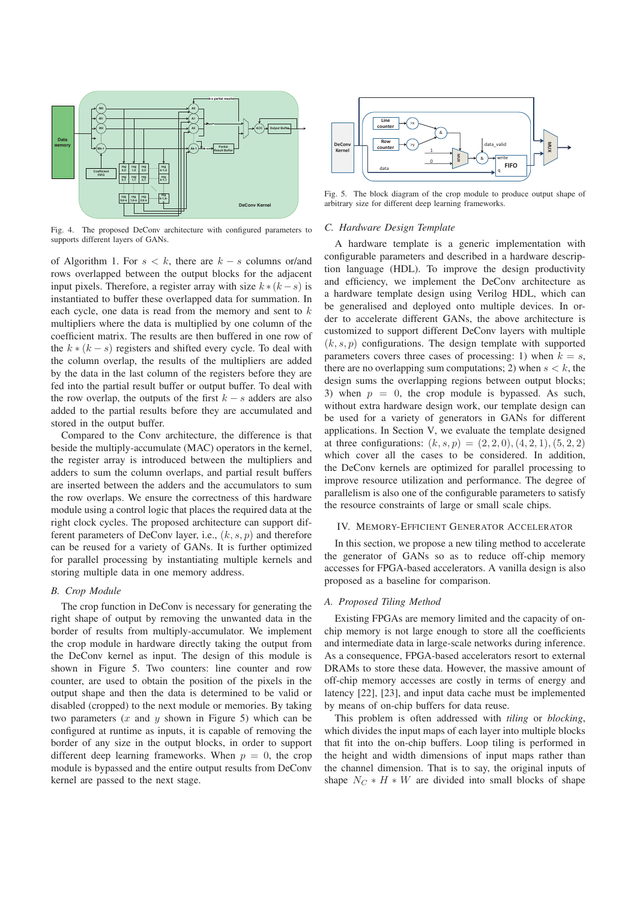

Fig. 4. The proposed DeConv architecture with configured parameters to supports different layers of GANs.

of Algorithm 1. For  $s < k$ , there are  $k - s$  columns or/and rows overlapped between the output blocks for the adjacent input pixels. Therefore, a register array with size  $k * (k - s)$  is instantiated to buffer these overlapped data for summation. In each cycle, one data is read from the memory and sent to  $k$ multipliers where the data is multiplied by one column of the coefficient matrix. The results are then buffered in one row of the  $k * (k - s)$  registers and shifted every cycle. To deal with the column overlap, the results of the multipliers are added by the data in the last column of the registers before they are fed into the partial result buffer or output buffer. To deal with the row overlap, the outputs of the first  $k - s$  adders are also added to the partial results before they are accumulated and stored in the output buffer.

Compared to the Conv architecture, the difference is that beside the multiply-accumulate (MAC) operators in the kernel, the register array is introduced between the multipliers and adders to sum the column overlaps, and partial result buffers are inserted between the adders and the accumulators to sum the row overlaps. We ensure the correctness of this hardware module using a control logic that places the required data at the right clock cycles. The proposed architecture can support different parameters of DeConv layer, i.e.,  $(k, s, p)$  and therefore can be reused for a variety of GANs. It is further optimized for parallel processing by instantiating multiple kernels and storing multiple data in one memory address.

# *B. Crop Module*

The crop function in DeConv is necessary for generating the right shape of output by removing the unwanted data in the border of results from multiply-accumulator. We implement the crop module in hardware directly taking the output from the DeConv kernel as input. The design of this module is shown in Figure 5. Two counters: line counter and row counter, are used to obtain the position of the pixels in the output shape and then the data is determined to be valid or disabled (cropped) to the next module or memories. By taking two parameters  $(x \text{ and } y \text{ shown in Figure 5})$  which can be configured at runtime as inputs, it is capable of removing the border of any size in the output blocks, in order to support different deep learning frameworks. When  $p = 0$ , the crop module is bypassed and the entire output results from DeConv kernel are passed to the next stage.



Fig. 5. The block diagram of the crop module to produce output shape of arbitrary size for different deep learning frameworks.

# *C. Hardware Design Template*

A hardware template is a generic implementation with configurable parameters and described in a hardware description language (HDL). To improve the design productivity and efficiency, we implement the DeConv architecture as a hardware template design using Verilog HDL, which can be generalised and deployed onto multiple devices. In order to accelerate different GANs, the above architecture is customized to support different DeConv layers with multiple  $(k, s, p)$  configurations. The design template with supported parameters covers three cases of processing: 1) when  $k = s$ , there are no overlapping sum computations; 2) when  $s < k$ , the design sums the overlapping regions between output blocks; 3) when  $p = 0$ , the crop module is bypassed. As such, without extra hardware design work, our template design can be used for a variety of generators in GANs for different applications. In Section V, we evaluate the template designed at three configurations:  $(k, s, p) = (2, 2, 0), (4, 2, 1), (5, 2, 2)$ which cover all the cases to be considered. In addition, the DeConv kernels are optimized for parallel processing to improve resource utilization and performance. The degree of parallelism is also one of the configurable parameters to satisfy the resource constraints of large or small scale chips.

# IV. MEMORY-EFFICIENT GENERATOR ACCELERATOR

In this section, we propose a new tiling method to accelerate the generator of GANs so as to reduce off-chip memory accesses for FPGA-based accelerators. A vanilla design is also proposed as a baseline for comparison.

# *A. Proposed Tiling Method*

Existing FPGAs are memory limited and the capacity of onchip memory is not large enough to store all the coefficients and intermediate data in large-scale networks during inference. As a consequence, FPGA-based accelerators resort to external DRAMs to store these data. However, the massive amount of off-chip memory accesses are costly in terms of energy and latency [22], [23], and input data cache must be implemented by means of on-chip buffers for data reuse.

This problem is often addressed with *tiling* or *blocking*, which divides the input maps of each layer into multiple blocks that fit into the on-chip buffers. Loop tiling is performed in the height and width dimensions of input maps rather than the channel dimension. That is to say, the original inputs of shape  $N_C * H * W$  are divided into small blocks of shape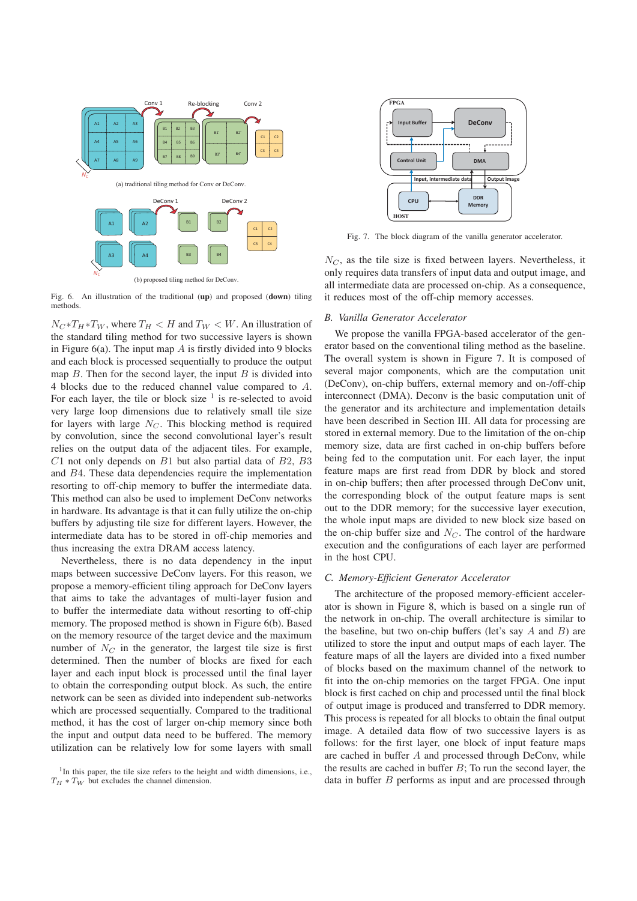

(b) proposed tiling method for DeConv.

Fig. 6. An illustration of the traditional (up) and proposed (down) tiling methods.

 $N_C * T_H * T_W$ , where  $T_H < H$  and  $T_W < W$ . An illustration of the standard tiling method for two successive layers is shown in Figure  $6(a)$ . The input map A is firstly divided into 9 blocks and each block is processed sequentially to produce the output map  $B$ . Then for the second layer, the input  $B$  is divided into 4 blocks due to the reduced channel value compared to A. For each layer, the tile or block size  $1$  is re-selected to avoid very large loop dimensions due to relatively small tile size for layers with large  $N<sub>C</sub>$ . This blocking method is required by convolution, since the second convolutional layer's result relies on the output data of the adjacent tiles. For example,  $C1$  not only depends on  $B1$  but also partial data of  $B2$ ,  $B3$ and B4. These data dependencies require the implementation resorting to off-chip memory to buffer the intermediate data. This method can also be used to implement DeConv networks in hardware. Its advantage is that it can fully utilize the on-chip buffers by adjusting tile size for different layers. However, the intermediate data has to be stored in off-chip memories and thus increasing the extra DRAM access latency.

Nevertheless, there is no data dependency in the input maps between successive DeConv layers. For this reason, we propose a memory-efficient tiling approach for DeConv layers that aims to take the advantages of multi-layer fusion and to buffer the intermediate data without resorting to off-chip memory. The proposed method is shown in Figure 6(b). Based on the memory resource of the target device and the maximum number of  $N_C$  in the generator, the largest tile size is first determined. Then the number of blocks are fixed for each layer and each input block is processed until the final layer to obtain the corresponding output block. As such, the entire network can be seen as divided into independent sub-networks which are processed sequentially. Compared to the traditional method, it has the cost of larger on-chip memory since both the input and output data need to be buffered. The memory utilization can be relatively low for some layers with small





Fig. 7. The block diagram of the vanilla generator accelerator.

 $N<sub>C</sub>$ , as the tile size is fixed between layers. Nevertheless, it only requires data transfers of input data and output image, and all intermediate data are processed on-chip. As a consequence, it reduces most of the off-chip memory accesses.

#### *B. Vanilla Generator Accelerator*

We propose the vanilla FPGA-based accelerator of the generator based on the conventional tiling method as the baseline. The overall system is shown in Figure 7. It is composed of several major components, which are the computation unit (DeConv), on-chip buffers, external memory and on-/off-chip interconnect (DMA). Deconv is the basic computation unit of the generator and its architecture and implementation details have been described in Section III. All data for processing are stored in external memory. Due to the limitation of the on-chip memory size, data are first cached in on-chip buffers before being fed to the computation unit. For each layer, the input feature maps are first read from DDR by block and stored in on-chip buffers; then after processed through DeConv unit, the corresponding block of the output feature maps is sent out to the DDR memory; for the successive layer execution, the whole input maps are divided to new block size based on the on-chip buffer size and  $N<sub>C</sub>$ . The control of the hardware execution and the configurations of each layer are performed in the host CPU.

## *C. Memory-Efficient Generator Accelerator*

The architecture of the proposed memory-efficient accelerator is shown in Figure 8, which is based on a single run of the network in on-chip. The overall architecture is similar to the baseline, but two on-chip buffers (let's say  $A$  and  $B$ ) are utilized to store the input and output maps of each layer. The feature maps of all the layers are divided into a fixed number of blocks based on the maximum channel of the network to fit into the on-chip memories on the target FPGA. One input block is first cached on chip and processed until the final block of output image is produced and transferred to DDR memory. This process is repeated for all blocks to obtain the final output image. A detailed data flow of two successive layers is as follows: for the first layer, one block of input feature maps are cached in buffer A and processed through DeConv, while the results are cached in buffer  $B$ ; To run the second layer, the data in buffer  $B$  performs as input and are processed through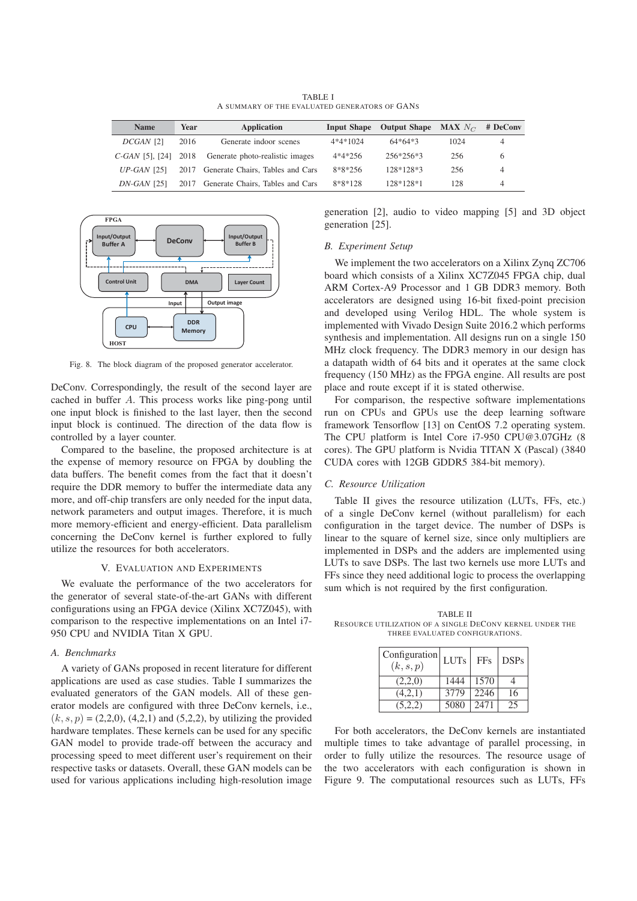TABLE I A SUMMARY OF THE EVALUATED GENERATORS OF GANS

| <b>Name</b>       | Year | <b>Application</b>               |            | Input Shape Output Shape MAX $N_C$ # DeConv |      |                |
|-------------------|------|----------------------------------|------------|---------------------------------------------|------|----------------|
| DCGAN [2]         | 2016 | Generate indoor scenes           | $4*4*1024$ | $64*64*3$                                   | 1024 | 4              |
| $C-GAN$ [5], [24] | 2018 | Generate photo-realistic images  | $4*4*256$  | 256*256*3                                   | 256  | 6              |
| $UP-GAN$ [25]     | 2017 | Generate Chairs, Tables and Cars | $8*8*256$  | $128*128*3$                                 | 256  | 4              |
| $DN-GAN$ [25]     | 2017 | Generate Chairs, Tables and Cars | $8*8*128$  | 128*128*1                                   | 128  | $\overline{4}$ |



Fig. 8. The block diagram of the proposed generator accelerator.

DeConv. Correspondingly, the result of the second layer are cached in buffer A. This process works like ping-pong until one input block is finished to the last layer, then the second input block is continued. The direction of the data flow is controlled by a layer counter.

Compared to the baseline, the proposed architecture is at the expense of memory resource on FPGA by doubling the data buffers. The benefit comes from the fact that it doesn't require the DDR memory to buffer the intermediate data any more, and off-chip transfers are only needed for the input data, network parameters and output images. Therefore, it is much more memory-efficient and energy-efficient. Data parallelism concerning the DeConv kernel is further explored to fully utilize the resources for both accelerators.

## V. EVALUATION AND EXPERIMENTS

We evaluate the performance of the two accelerators for the generator of several state-of-the-art GANs with different configurations using an FPGA device (Xilinx XC7Z045), with comparison to the respective implementations on an Intel i7- 950 CPU and NVIDIA Titan X GPU.

#### *A. Benchmarks*

A variety of GANs proposed in recent literature for different applications are used as case studies. Table I summarizes the evaluated generators of the GAN models. All of these generator models are configured with three DeConv kernels, i.e.,  $(k, s, p) = (2,2,0), (4,2,1)$  and  $(5,2,2)$ , by utilizing the provided hardware templates. These kernels can be used for any specific GAN model to provide trade-off between the accuracy and processing speed to meet different user's requirement on their respective tasks or datasets. Overall, these GAN models can be used for various applications including high-resolution image generation [2], audio to video mapping [5] and 3D object generation [25].

# *B. Experiment Setup*

We implement the two accelerators on a Xilinx Zynq ZC706 board which consists of a Xilinx XC7Z045 FPGA chip, dual ARM Cortex-A9 Processor and 1 GB DDR3 memory. Both accelerators are designed using 16-bit fixed-point precision and developed using Verilog HDL. The whole system is implemented with Vivado Design Suite 2016.2 which performs synthesis and implementation. All designs run on a single 150 MHz clock frequency. The DDR3 memory in our design has a datapath width of 64 bits and it operates at the same clock frequency (150 MHz) as the FPGA engine. All results are post place and route except if it is stated otherwise.

For comparison, the respective software implementations run on CPUs and GPUs use the deep learning software framework Tensorflow [13] on CentOS 7.2 operating system. The CPU platform is Intel Core i7-950 CPU@3.07GHz (8 cores). The GPU platform is Nvidia TITAN X (Pascal) (3840 CUDA cores with 12GB GDDR5 384-bit memory).

# *C. Resource Utilization*

Table II gives the resource utilization (LUTs, FFs, etc.) of a single DeConv kernel (without parallelism) for each configuration in the target device. The number of DSPs is linear to the square of kernel size, since only multipliers are implemented in DSPs and the adders are implemented using LUTs to save DSPs. The last two kernels use more LUTs and FFs since they need additional logic to process the overlapping sum which is not required by the first configuration.

TABLE II RESOURCE UTILIZATION OF A SINGLE DECONV KERNEL UNDER THE THREE EVALUATED CONFIGURATIONS.

| Configuration<br>(k, s, p) | <b>LUTs</b> | <b>FFs</b> | <b>DSPs</b> |
|----------------------------|-------------|------------|-------------|
| (2,2,0)                    | 1444        | 1570       |             |
| (4,2,1)                    | 3779        | 2246       | 16          |
| (5.2.2)                    | 5080        | 2471       | 25          |

For both accelerators, the DeConv kernels are instantiated multiple times to take advantage of parallel processing, in order to fully utilize the resources. The resource usage of the two accelerators with each configuration is shown in Figure 9. The computational resources such as LUTs, FFs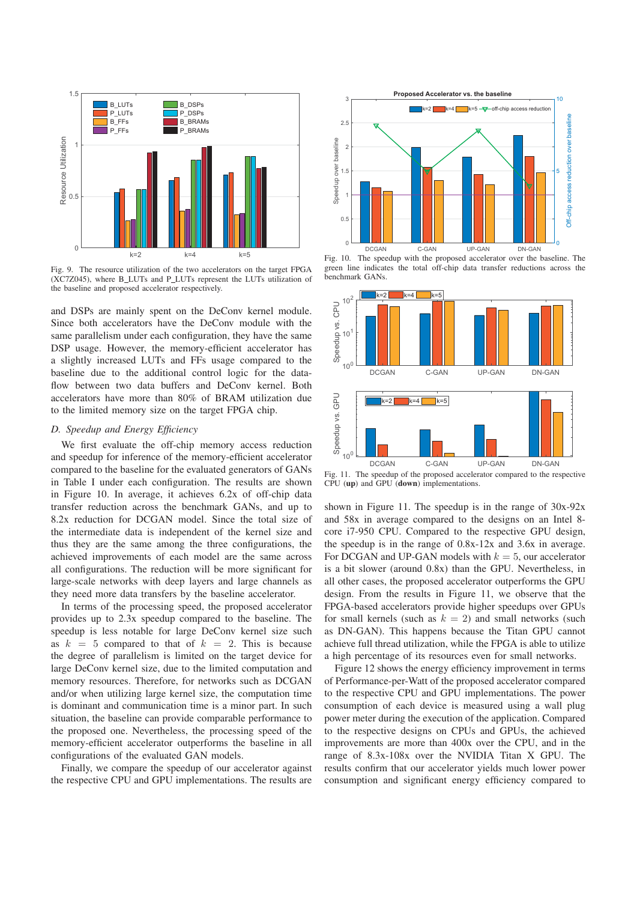

Fig. 9. The resource utilization of the two accelerators on the target FPGA (XC7Z045), where B LUTs and P LUTs represent the LUTs utilization of the baseline and proposed accelerator respectively.

and DSPs are mainly spent on the DeConv kernel module. Since both accelerators have the DeConv module with the same parallelism under each configuration, they have the same DSP usage. However, the memory-efficient accelerator has a slightly increased LUTs and FFs usage compared to the baseline due to the additional control logic for the dataflow between two data buffers and DeConv kernel. Both accelerators have more than 80% of BRAM utilization due to the limited memory size on the target FPGA chip.

# *D. Speedup and Energy Efficiency*

We first evaluate the off-chip memory access reduction and speedup for inference of the memory-efficient accelerator compared to the baseline for the evaluated generators of GANs in Table I under each configuration. The results are shown in Figure 10. In average, it achieves 6.2x of off-chip data transfer reduction across the benchmark GANs, and up to 8.2x reduction for DCGAN model. Since the total size of the intermediate data is independent of the kernel size and thus they are the same among the three configurations, the achieved improvements of each model are the same across all configurations. The reduction will be more significant for large-scale networks with deep layers and large channels as they need more data transfers by the baseline accelerator.

In terms of the processing speed, the proposed accelerator provides up to 2.3x speedup compared to the baseline. The speedup is less notable for large DeConv kernel size such as  $k = 5$  compared to that of  $k = 2$ . This is because the degree of parallelism is limited on the target device for large DeConv kernel size, due to the limited computation and memory resources. Therefore, for networks such as DCGAN and/or when utilizing large kernel size, the computation time is dominant and communication time is a minor part. In such situation, the baseline can provide comparable performance to the proposed one. Nevertheless, the processing speed of the memory-efficient accelerator outperforms the baseline in all configurations of the evaluated GAN models.

Finally, we compare the speedup of our accelerator against the respective CPU and GPU implementations. The results are



Fig. 10. The speedup with the proposed accelerator over the baseline. The green line indicates the total off-chip data transfer reductions across the benchmark GANs.



Fig. 11. The speedup of the proposed accelerator compared to the respective CPU (up) and GPU (down) implementations.

shown in Figure 11. The speedup is in the range of 30x-92x and 58x in average compared to the designs on an Intel 8 core i7-950 CPU. Compared to the respective GPU design, the speedup is in the range of 0.8x-12x and 3.6x in average. For DCGAN and UP-GAN models with  $k = 5$ , our accelerator is a bit slower (around 0.8x) than the GPU. Nevertheless, in all other cases, the proposed accelerator outperforms the GPU design. From the results in Figure 11, we observe that the FPGA-based accelerators provide higher speedups over GPUs for small kernels (such as  $k = 2$ ) and small networks (such as DN-GAN). This happens because the Titan GPU cannot achieve full thread utilization, while the FPGA is able to utilize a high percentage of its resources even for small networks.

Figure 12 shows the energy efficiency improvement in terms of Performance-per-Watt of the proposed accelerator compared to the respective CPU and GPU implementations. The power consumption of each device is measured using a wall plug power meter during the execution of the application. Compared to the respective designs on CPUs and GPUs, the achieved improvements are more than 400x over the CPU, and in the range of 8.3x-108x over the NVIDIA Titan X GPU. The results confirm that our accelerator yields much lower power consumption and significant energy efficiency compared to